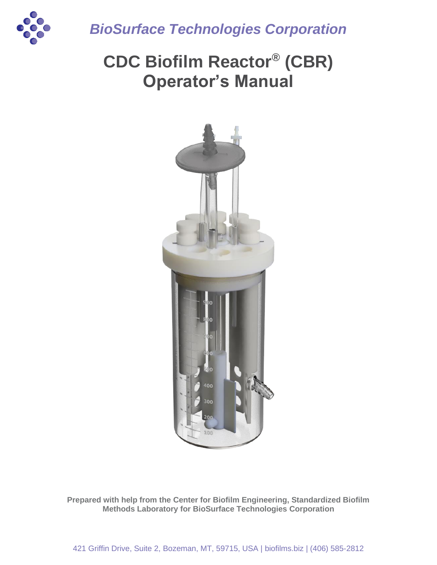

*BioSurface Technologies Corporation*

# **CDC Biofilm Reactor® (CBR) Operator's Manual**



**Prepared with help from the Center for Biofilm Engineering, Standardized Biofilm Methods Laboratory for BioSurface Technologies Corporation**

421 Griffin Drive, Suite 2, Bozeman, MT, 59715, USA | biofilms.biz | (406) 585-2812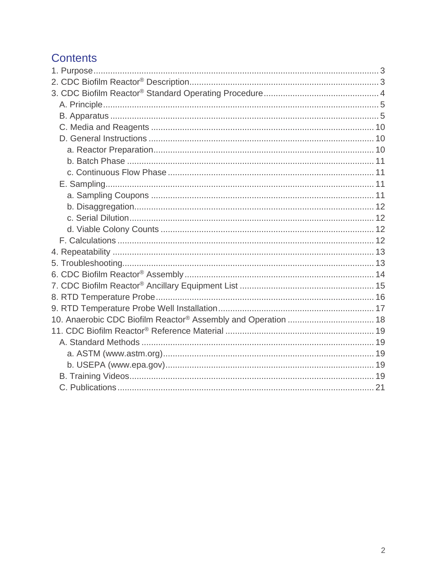# **Contents**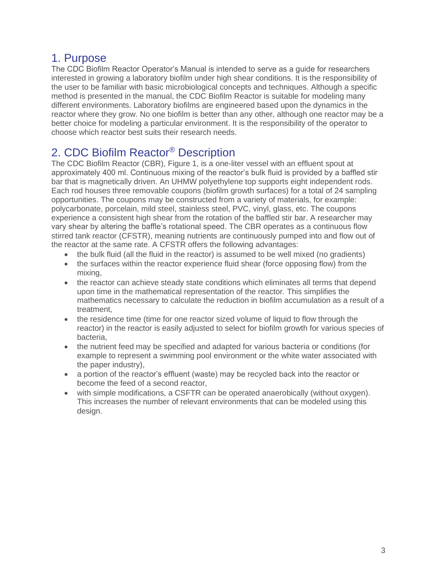### <span id="page-2-0"></span>1. Purpose

The CDC Biofilm Reactor Operator's Manual is intended to serve as a guide for researchers interested in growing a laboratory biofilm under high shear conditions. It is the responsibility of the user to be familiar with basic microbiological concepts and techniques. Although a specific method is presented in the manual, the CDC Biofilm Reactor is suitable for modeling many different environments. Laboratory biofilms are engineered based upon the dynamics in the reactor where they grow. No one biofilm is better than any other, although one reactor may be a better choice for modeling a particular environment. It is the responsibility of the operator to choose which reactor best suits their research needs.

# <span id="page-2-1"></span>2. CDC Biofilm Reactor® Description

The CDC Biofilm Reactor (CBR), Figure 1, is a one-liter vessel with an effluent spout at approximately 400 ml. Continuous mixing of the reactor's bulk fluid is provided by a baffled stir bar that is magnetically driven. An UHMW polyethylene top supports eight independent rods. Each rod houses three removable coupons (biofilm growth surfaces) for a total of 24 sampling opportunities. The coupons may be constructed from a variety of materials, for example: polycarbonate, porcelain, mild steel, stainless steel, PVC, vinyl, glass, etc. The coupons experience a consistent high shear from the rotation of the baffled stir bar. A researcher may vary shear by altering the baffle's rotational speed. The CBR operates as a continuous flow stirred tank reactor (CFSTR), meaning nutrients are continuously pumped into and flow out of the reactor at the same rate. A CFSTR offers the following advantages:

- the bulk fluid (all the fluid in the reactor) is assumed to be well mixed (no gradients)
- the surfaces within the reactor experience fluid shear (force opposing flow) from the mixing,
- the reactor can achieve steady state conditions which eliminates all terms that depend upon time in the mathematical representation of the reactor. This simplifies the mathematics necessary to calculate the reduction in biofilm accumulation as a result of a treatment,
- the residence time (time for one reactor sized volume of liquid to flow through the reactor) in the reactor is easily adjusted to select for biofilm growth for various species of bacteria,
- the nutrient feed may be specified and adapted for various bacteria or conditions (for example to represent a swimming pool environment or the white water associated with the paper industry),
- a portion of the reactor's effluent (waste) may be recycled back into the reactor or become the feed of a second reactor,
- with simple modifications, a CSFTR can be operated anaerobically (without oxygen). This increases the number of relevant environments that can be modeled using this design.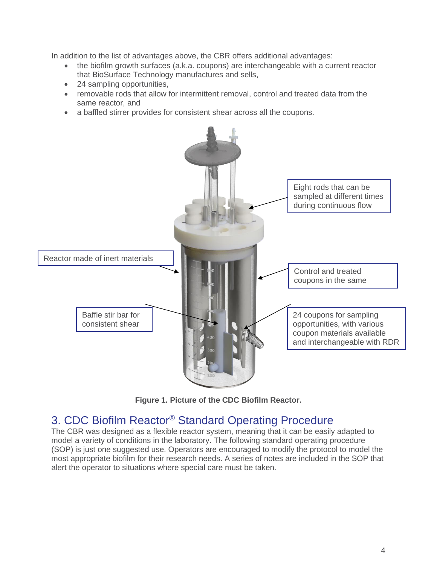In addition to the list of advantages above, the CBR offers additional advantages:

- the biofilm growth surfaces (a.k.a. coupons) are interchangeable with a current reactor that BioSurface Technology manufactures and sells,
- 24 sampling opportunities,
- removable rods that allow for intermittent removal, control and treated data from the same reactor, and
- a baffled stirrer provides for consistent shear across all the coupons.



**Figure 1. Picture of the CDC Biofilm Reactor.**

### <span id="page-3-0"></span>3. CDC Biofilm Reactor® Standard Operating Procedure

The CBR was designed as a flexible reactor system, meaning that it can be easily adapted to model a variety of conditions in the laboratory. The following standard operating procedure (SOP) is just one suggested use. Operators are encouraged to modify the protocol to model the most appropriate biofilm for their research needs. A series of notes are included in the SOP that alert the operator to situations where special care must be taken.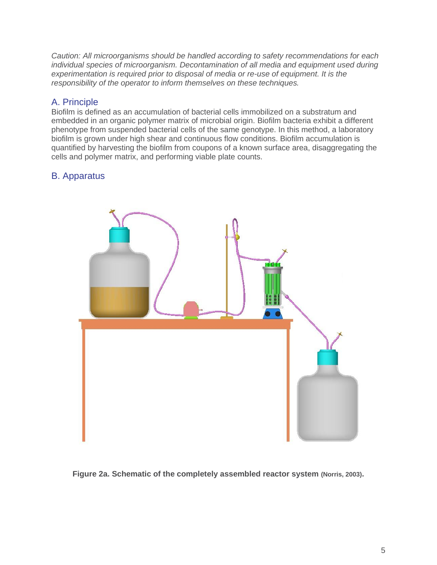*Caution: All microorganisms should be handled according to safety recommendations for each individual species of microorganism. Decontamination of all media and equipment used during experimentation is required prior to disposal of media or re-use of equipment. It is the responsibility of the operator to inform themselves on these techniques.* 

### <span id="page-4-0"></span>A. Principle

Biofilm is defined as an accumulation of bacterial cells immobilized on a substratum and embedded in an organic polymer matrix of microbial origin. Biofilm bacteria exhibit a different phenotype from suspended bacterial cells of the same genotype. In this method, a laboratory biofilm is grown under high shear and continuous flow conditions. Biofilm accumulation is quantified by harvesting the biofilm from coupons of a known surface area, disaggregating the cells and polymer matrix, and performing viable plate counts.

### <span id="page-4-1"></span>B. Apparatus



**Figure 2a. Schematic of the completely assembled reactor system (Norris, 2003).**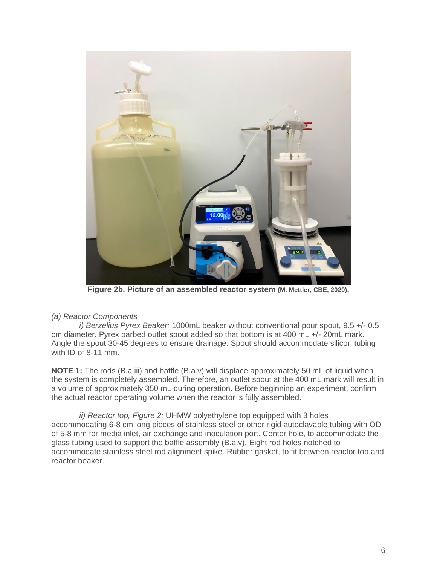

**Figure 2b. Picture of an assembled reactor system (M. Mettler, CBE, 2020).**

#### *(a) Reactor Components*

*i) Berzelius Pyrex Beaker:* 1000mL beaker without conventional pour spout, 9.5 +/- 0.5 cm diameter. Pyrex barbed outlet spout added so that bottom is at 400 mL +/- 20mL mark. Angle the spout 30-45 degrees to ensure drainage. Spout should accommodate silicon tubing with ID of 8-11 mm.

**NOTE 1:** The rods (B.a.iii) and baffle (B.a.v) will displace approximately 50 mL of liquid when the system is completely assembled. Therefore, an outlet spout at the 400 mL mark will result in a volume of approximately 350 mL during operation. Before beginning an experiment, confirm the actual reactor operating volume when the reactor is fully assembled.

*ii) Reactor top, Figure 2:* UHMW polyethylene top equipped with 3 holes accommodating 6-8 cm long pieces of stainless steel or other rigid autoclavable tubing with OD of 5-8 mm for media inlet, air exchange and inoculation port. Center hole, to accommodate the glass tubing used to support the baffle assembly (B.a.v). Eight rod holes notched to accommodate stainless steel rod alignment spike. Rubber gasket, to fit between reactor top and reactor beaker.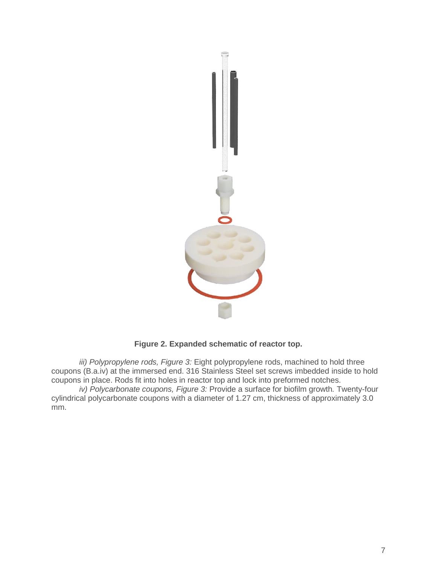

**Figure 2. Expanded schematic of reactor top.**

*iii) Polypropylene rods, Figure 3:* Eight polypropylene rods, machined to hold three coupons (B.a.iv) at the immersed end. 316 Stainless Steel set screws imbedded inside to hold coupons in place. Rods fit into holes in reactor top and lock into preformed notches.

*iv) Polycarbonate coupons, Figure 3:* Provide a surface for biofilm growth*.* Twenty-four cylindrical polycarbonate coupons with a diameter of 1.27 cm, thickness of approximately 3.0 mm.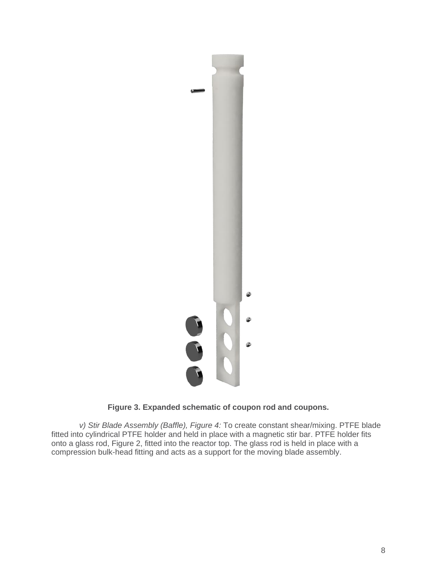

### **Figure 3. Expanded schematic of coupon rod and coupons.**

*v) Stir Blade Assembly (Baffle), Figure 4:* To create constant shear/mixing. PTFE blade fitted into cylindrical PTFE holder and held in place with a magnetic stir bar. PTFE holder fits onto a glass rod, Figure 2, fitted into the reactor top. The glass rod is held in place with a compression bulk-head fitting and acts as a support for the moving blade assembly.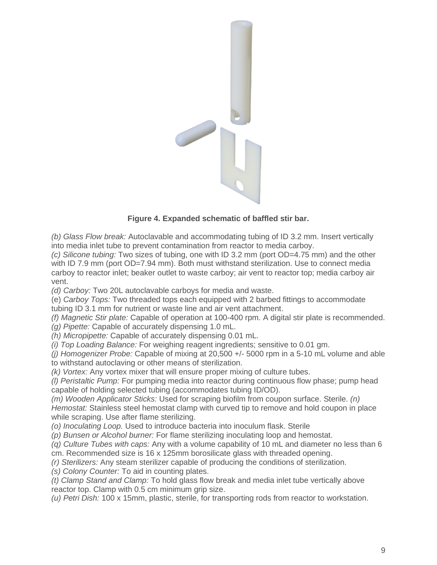

### **Figure 4. Expanded schematic of baffled stir bar.**

*(b) Glass Flow break:* Autoclavable and accommodating tubing of ID 3.2 mm. Insert vertically into media inlet tube to prevent contamination from reactor to media carboy.

*(c) Silicone tubing:* Two sizes of tubing, one with ID 3.2 mm (port OD=4.75 mm) and the other with ID 7.9 mm (port OD=7.94 mm). Both must withstand sterilization. Use to connect media carboy to reactor inlet; beaker outlet to waste carboy; air vent to reactor top; media carboy air vent.

*(d) Carboy:* Two 20L autoclavable carboys for media and waste.

(e) *Carboy Tops:* Two threaded tops each equipped with 2 barbed fittings to accommodate tubing ID 3.1 mm for nutrient or waste line and air vent attachment.

*(f) Magnetic Stir plate:* Capable of operation at 100-400 rpm. A digital stir plate is recommended. *(g) Pipette:* Capable of accurately dispensing 1.0 mL.

*(h) Micropipette:* Capable of accurately dispensing 0.01 mL.

*(i) Top Loading Balance:* For weighing reagent ingredients; sensitive to 0.01 gm.

*(j) Homogenizer Probe:* Capable of mixing at 20,500 +/- 5000 rpm in a 5-10 mL volume and able to withstand autoclaving or other means of sterilization.

*(k) Vortex:* Any vortex mixer that will ensure proper mixing of culture tubes.

*(l) Peristaltic Pump:* For pumping media into reactor during continuous flow phase; pump head capable of holding selected tubing (accommodates tubing ID/OD).

*(m) Wooden Applicator Sticks:* Used for scraping biofilm from coupon surface. Sterile. *(n) Hemostat:* Stainless steel hemostat clamp with curved tip to remove and hold coupon in place while scraping. Use after flame sterilizing.

*(o) Inoculating Loop.* Used to introduce bacteria into inoculum flask. Sterile

*(p) Bunsen or Alcohol burner:* For flame sterilizing inoculating loop and hemostat.

*(q) Culture Tubes with caps:* Any with a volume capability of 10 mL and diameter no less than 6 cm. Recommended size is 16 x 125mm borosilicate glass with threaded opening.

*(r) Sterilizers:* Any steam sterilizer capable of producing the conditions of sterilization.

*(s) Colony Counter:* To aid in counting plates.

*(t) Clamp Stand and Clamp:* To hold glass flow break and media inlet tube vertically above reactor top. Clamp with 0.5 cm minimum grip size.

*(u) Petri Dish:* 100 x 15mm, plastic, sterile, for transporting rods from reactor to workstation.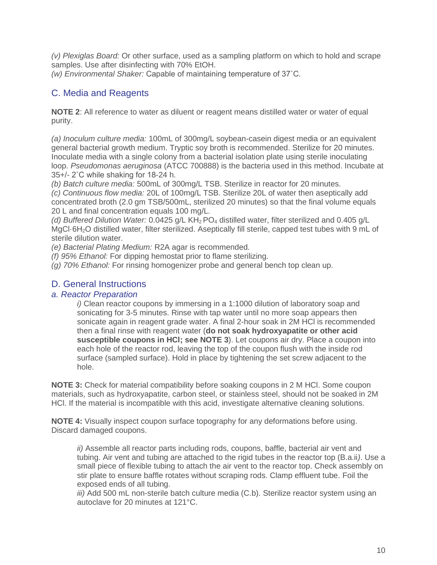*(v) Plexiglas Board:* Or other surface, used as a sampling platform on which to hold and scrape samples. Use after disinfecting with 70% EtOH.

*(w) Environmental Shaker:* Capable of maintaining temperature of 37˚C.

### <span id="page-9-0"></span>C. Media and Reagents

**NOTE 2**: All reference to water as diluent or reagent means distilled water or water of equal purity.

*(a) Inoculum culture media:* 100mL of 300mg/L soybean-casein digest media or an equivalent general bacterial growth medium. Tryptic soy broth is recommended. Sterilize for 20 minutes. Inoculate media with a single colony from a bacterial isolation plate using sterile inoculating loop. *Pseudomonas aeruginosa* (ATCC 700888) is the bacteria used in this method. Incubate at 35+/- 2˚C while shaking for 18-24 h.

*(b) Batch culture media:* 500mL of 300mg/L TSB. Sterilize in reactor for 20 minutes.

*(c) Continuous flow media:* 20L of 100mg/L TSB. Sterilize 20L of water then aseptically add concentrated broth (2.0 gm TSB/500mL, sterilized 20 minutes) so that the final volume equals 20 L and final concentration equals 100 mg/L.

*(d) Buffered Dilution Water:* 0.0425 g/L KH<sub>2</sub> PO<sub>4</sub> distilled water, filter sterilized and 0.405 g/L MgCl·6H2O distilled water, filter sterilized. Aseptically fill sterile, capped test tubes with 9 mL of sterile dilution water.

*(e) Bacterial Plating Medium:* R2A agar is recommended*.*

*(f) 95% Ethanol:* For dipping hemostat prior to flame sterilizing.

*(g) 70% Ethanol:* For rinsing homogenizer probe and general bench top clean up.

### <span id="page-9-1"></span>D. General Instructions

### <span id="page-9-2"></span>*a. Reactor Preparation*

*i)* Clean reactor coupons by immersing in a 1:1000 dilution of laboratory soap and sonicating for 3-5 minutes. Rinse with tap water until no more soap appears then sonicate again in reagent grade water. A final 2-hour soak in 2M HCl is recommended then a final rinse with reagent water (**do not soak hydroxyapatite or other acid susceptible coupons in HCl; see NOTE 3**). Let coupons air dry. Place a coupon into each hole of the reactor rod, leaving the top of the coupon flush with the inside rod surface (sampled surface). Hold in place by tightening the set screw adjacent to the hole.

**NOTE 3:** Check for material compatibility before soaking coupons in 2 M HCl. Some coupon materials, such as hydroxyapatite, carbon steel, or stainless steel, should not be soaked in 2M HCl. If the material is incompatible with this acid, investigate alternative cleaning solutions.

**NOTE 4:** Visually inspect coupon surface topography for any deformations before using. Discard damaged coupons.

*ii)* Assemble all reactor parts including rods, coupons, baffle, bacterial air vent and tubing. Air vent and tubing are attached to the rigid tubes in the reactor top (B.a.ii*)*. Use a small piece of flexible tubing to attach the air vent to the reactor top. Check assembly on stir plate to ensure baffle rotates without scraping rods. Clamp effluent tube. Foil the exposed ends of all tubing.

*iii)* Add 500 mL non-sterile batch culture media (C.b). Sterilize reactor system using an autoclave for 20 minutes at 121°C.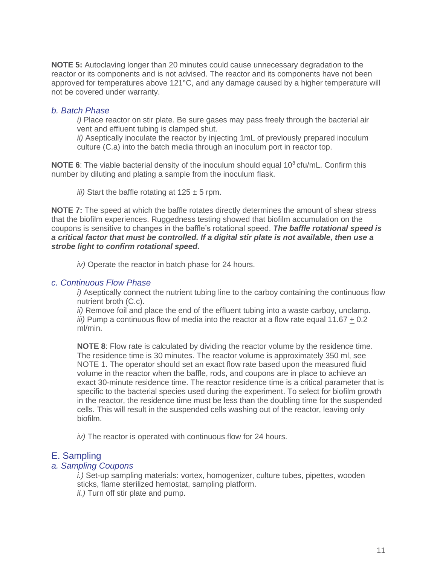**NOTE 5:** Autoclaving longer than 20 minutes could cause unnecessary degradation to the reactor or its components and is not advised. The reactor and its components have not been approved for temperatures above 121°C, and any damage caused by a higher temperature will not be covered under warranty.

#### <span id="page-10-0"></span>*b. Batch Phase*

*i)* Place reactor on stir plate. Be sure gases may pass freely through the bacterial air vent and effluent tubing is clamped shut.

*ii)* Aseptically inoculate the reactor by injecting 1mL of previously prepared inoculum culture (C.a) into the batch media through an inoculum port in reactor top.

**NOTE 6**: The viable bacterial density of the inoculum should equal 10<sup>8</sup> cfu/mL. Confirm this number by diluting and plating a sample from the inoculum flask.

*iii*) Start the baffle rotating at  $125 \pm 5$  rpm.

**NOTE 7:** The speed at which the baffle rotates directly determines the amount of shear stress that the biofilm experiences. Ruggedness testing showed that biofilm accumulation on the coupons is sensitive to changes in the baffle's rotational speed. *The baffle rotational speed is a critical factor that must be controlled. If a digital stir plate is not available, then use a strobe light to confirm rotational speed.*

*iv)* Operate the reactor in batch phase for 24 hours.

#### <span id="page-10-1"></span>*c. Continuous Flow Phase*

*i*) Aseptically connect the nutrient tubing line to the carboy containing the continuous flow nutrient broth (C.c).

*ii)* Remove foil and place the end of the effluent tubing into a waste carboy, unclamp. *iii*) Pump a continuous flow of media into the reactor at a flow rate equal 11.67 + 0.2 ml/min.

**NOTE 8**: Flow rate is calculated by dividing the reactor volume by the residence time. The residence time is 30 minutes. The reactor volume is approximately 350 ml, see NOTE 1. The operator should set an exact flow rate based upon the measured fluid volume in the reactor when the baffle, rods, and coupons are in place to achieve an exact 30-minute residence time. The reactor residence time is a critical parameter that is specific to the bacterial species used during the experiment. To select for biofilm growth in the reactor, the residence time must be less than the doubling time for the suspended cells. This will result in the suspended cells washing out of the reactor, leaving only biofilm.

*iv)* The reactor is operated with continuous flow for 24 hours.

#### <span id="page-10-2"></span>E. Sampling

#### <span id="page-10-3"></span>*a. Sampling Coupons*

*i.)* Set-up sampling materials: vortex, homogenizer, culture tubes, pipettes, wooden sticks, flame sterilized hemostat, sampling platform.

*ii.)* Turn off stir plate and pump.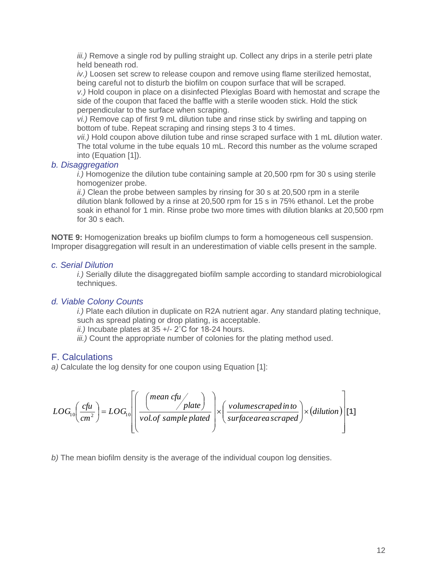*iii.)* Remove a single rod by pulling straight up. Collect any drips in a sterile petri plate held beneath rod.

*iv.)* Loosen set screw to release coupon and remove using flame sterilized hemostat, being careful not to disturb the biofilm on coupon surface that will be scraped.

*v.)* Hold coupon in place on a disinfected Plexiglas Board with hemostat and scrape the side of the coupon that faced the baffle with a sterile wooden stick. Hold the stick perpendicular to the surface when scraping.

*vi.)* Remove cap of first 9 mL dilution tube and rinse stick by swirling and tapping on bottom of tube. Repeat scraping and rinsing steps 3 to 4 times.

*vii.)* Hold coupon above dilution tube and rinse scraped surface with 1 mL dilution water. The total volume in the tube equals 10 mL. Record this number as the volume scraped into (Equation [1]).

### <span id="page-11-0"></span>*b. Disaggregation*

*i.)* Homogenize the dilution tube containing sample at 20,500 rpm for 30 s using sterile homogenizer probe.

*ii.)* Clean the probe between samples by rinsing for 30 s at 20,500 rpm in a sterile dilution blank followed by a rinse at 20,500 rpm for 15 s in 75% ethanol. Let the probe soak in ethanol for 1 min. Rinse probe two more times with dilution blanks at 20,500 rpm for 30 s each.

**NOTE 9:** Homogenization breaks up biofilm clumps to form a homogeneous cell suspension. Improper disaggregation will result in an underestimation of viable cells present in the sample.

### <span id="page-11-1"></span>*c. Serial Dilution*

*i.)* Serially dilute the disaggregated biofilm sample according to standard microbiological techniques.

### <span id="page-11-2"></span>*d. Viable Colony Counts*

*i.)* Plate each dilution in duplicate on R2A nutrient agar. Any standard plating technique, such as spread plating or drop plating, is acceptable.

*ii.)* Incubate plates at 35 +/- 2˚C for 18-24 hours.

*iii.)* Count the appropriate number of colonies for the plating method used.

### <span id="page-11-3"></span>F. Calculations

*a)* Calculate the log density for one coupon using Equation [1]:

$$
LOG_{10}\left(\frac{c\hbar u}{cm^2}\right) = LOG_{10}\left[\left(\frac{mean\ c\hbar u}{vol. of\ sample\ plate}\right) \times \left(\frac{volume\ corresponding\theta}{surface\ area\ scaled}\right) \times (dilution)\right]
$$
 [1]

*b)* The mean biofilm density is the average of the individual coupon log densities.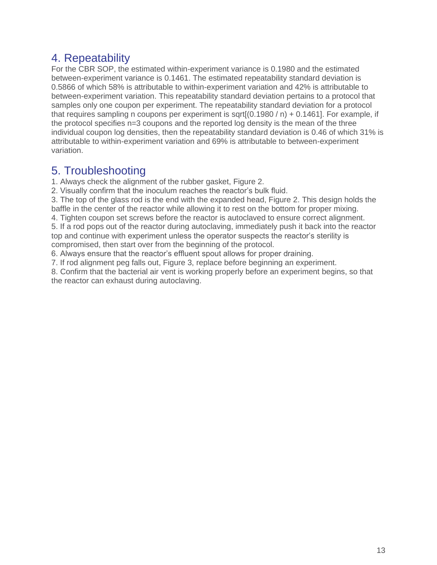# <span id="page-12-0"></span>4. Repeatability

For the CBR SOP, the estimated within-experiment variance is 0.1980 and the estimated between-experiment variance is 0.1461. The estimated repeatability standard deviation is 0.5866 of which 58% is attributable to within-experiment variation and 42% is attributable to between-experiment variation. This repeatability standard deviation pertains to a protocol that samples only one coupon per experiment. The repeatability standard deviation for a protocol that requires sampling n coupons per experiment is sqrt $[(0.1980/n) + 0.1461]$ . For example, if the protocol specifies n=3 coupons and the reported log density is the mean of the three individual coupon log densities, then the repeatability standard deviation is 0.46 of which 31% is attributable to within-experiment variation and 69% is attributable to between-experiment variation.

### <span id="page-12-1"></span>5. Troubleshooting

1. Always check the alignment of the rubber gasket, Figure 2.

2. Visually confirm that the inoculum reaches the reactor's bulk fluid.

3. The top of the glass rod is the end with the expanded head, Figure 2. This design holds the baffle in the center of the reactor while allowing it to rest on the bottom for proper mixing.

4. Tighten coupon set screws before the reactor is autoclaved to ensure correct alignment.

5. If a rod pops out of the reactor during autoclaving, immediately push it back into the reactor top and continue with experiment unless the operator suspects the reactor's sterility is compromised, then start over from the beginning of the protocol.

6. Always ensure that the reactor's effluent spout allows for proper draining.

7. If rod alignment peg falls out, Figure 3, replace before beginning an experiment.

8. Confirm that the bacterial air vent is working properly before an experiment begins, so that the reactor can exhaust during autoclaving.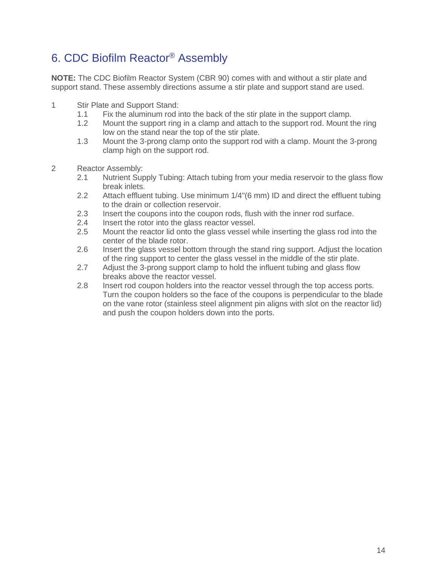# <span id="page-13-0"></span>6. CDC Biofilm Reactor® Assembly

**NOTE:** The CDC Biofilm Reactor System (CBR 90) comes with and without a stir plate and support stand. These assembly directions assume a stir plate and support stand are used.

- 1 Stir Plate and Support Stand:
	- 1.1 Fix the aluminum rod into the back of the stir plate in the support clamp.
	- 1.2 Mount the support ring in a clamp and attach to the support rod. Mount the ring low on the stand near the top of the stir plate.
	- 1.3 Mount the 3-prong clamp onto the support rod with a clamp. Mount the 3-prong clamp high on the support rod.
- 2 Reactor Assembly:
	- 2.1 Nutrient Supply Tubing: Attach tubing from your media reservoir to the glass flow break inlets.
	- 2.2 Attach effluent tubing. Use minimum 1/4"(6 mm) ID and direct the effluent tubing to the drain or collection reservoir.
	- 2.3 Insert the coupons into the coupon rods, flush with the inner rod surface.
	- 2.4 Insert the rotor into the glass reactor vessel.
	- 2.5 Mount the reactor lid onto the glass vessel while inserting the glass rod into the center of the blade rotor.
	- 2.6 Insert the glass vessel bottom through the stand ring support. Adjust the location of the ring support to center the glass vessel in the middle of the stir plate.
	- 2.7 Adjust the 3-prong support clamp to hold the influent tubing and glass flow breaks above the reactor vessel.
	- 2.8 Insert rod coupon holders into the reactor vessel through the top access ports. Turn the coupon holders so the face of the coupons is perpendicular to the blade on the vane rotor (stainless steel alignment pin aligns with slot on the reactor lid) and push the coupon holders down into the ports.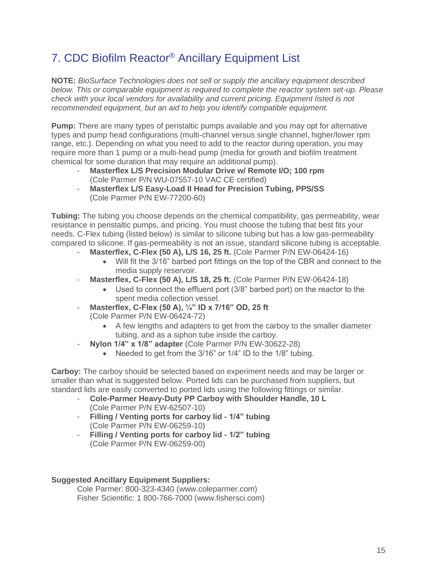# <span id="page-14-0"></span>7. CDC Biofilm Reactor® Ancillary Equipment List

**NOTE:** *BioSurface Technologies does not sell or supply the ancillary equipment described below. This or comparable equipment is required to complete the reactor system set-up. Please check with your local vendors for availability and current pricing. Equipment listed is not recommended equipment, but an aid to help you identify compatible equipment.*

**Pump:** There are many types of peristaltic pumps available and you may opt for alternative types and pump head configurations (multi-channel versus single channel, higher/lower rpm range, etc.). Depending on what you need to add to the reactor during operation, you may require more than 1 pump or a multi-head pump (media for growth and biofilm treatment chemical for some duration that may require an additional pump).

- **Masterflex L/S Precision Modular Drive w/ Remote I/O; 100 rpm** (Cole Parmer P/N WU-07557-10 VAC CE certified)
- **Masterflex L/S Easy-Load II Head for Precision Tubing, PPS/SS** (Cole Parmer P/N EW-77200-60)

**Tubing:** The tubing you choose depends on the chemical compatibility, gas permeability, wear resistance in peristaltic pumps, and pricing. You must choose the tubing that best fits your needs. C-Flex tubing (listed below) is similar to silicone tubing but has a low gas-permeability compared to silicone. If gas-permeability is not an issue, standard silicone tubing is acceptable.

- **Masterflex, C-Flex (50 A), L/S 16, 25 ft. (Cole Parmer P/N EW-06424-16)** 
	- Will fit the 3/16" barbed port fittings on the top of the CBR and connect to the media supply reservoir.
- **Masterflex, C-Flex (50 A), L/S 18, 25 ft.** (Cole Parmer P/N EW-06424-18)
	- Used to connect the effluent port (3/8" barbed port) on the reactor to the spent media collection vessel.
- **Masterflex, C-Flex (50 A), ¼" ID x 7/16" OD, 25 ft** (Cole Parmer P/N EW-06424-72)
	- A few lengths and adapters to get from the carboy to the smaller diameter tubing, and as a siphon tube inside the carboy.
- **Nylon 1/4" x 1/8" adapter** (Cole Parmer P/N EW-30622-28)
	- Needed to get from the 3/16" or 1/4" ID to the 1/8" tubing.

**Carboy:** The carboy should be selected based on experiment needs and may be larger or smaller than what is suggested below. Ported lids can be purchased from suppliers, but standard lids are easily converted to ported lids using the following fittings or similar.

- **Cole-Parmer Heavy-Duty PP Carboy with Shoulder Handle, 10 L** (Cole Parmer P/N EW-62507-10)
- **Filling / Venting ports for carboy lid - 1/4" tubing** (Cole Parmer P/N EW-06259-10)
- **Filling / Venting ports for carboy lid - 1/2" tubing**  (Cole Parmer P/N EW-06259-00)

### **Suggested Ancillary Equipment Suppliers:**

Cole Parmer: 800-323-4340 (www.coleparmer.com) Fisher Scientific: 1 800-766-7000 (www.fishersci.com)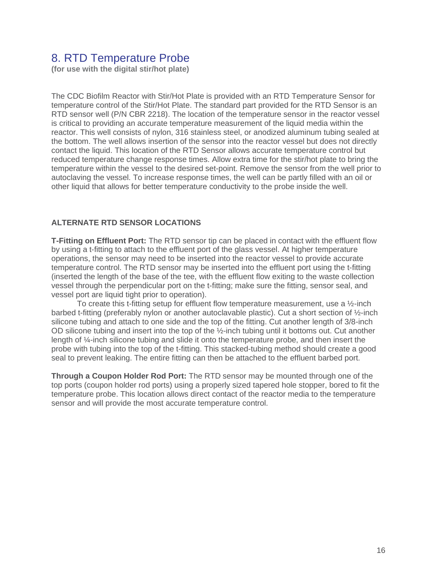### <span id="page-15-0"></span>8. RTD Temperature Probe

**(for use with the digital stir/hot plate)**

The CDC Biofilm Reactor with Stir/Hot Plate is provided with an RTD Temperature Sensor for temperature control of the Stir/Hot Plate. The standard part provided for the RTD Sensor is an RTD sensor well (P/N CBR 2218). The location of the temperature sensor in the reactor vessel is critical to providing an accurate temperature measurement of the liquid media within the reactor. This well consists of nylon, 316 stainless steel, or anodized aluminum tubing sealed at the bottom. The well allows insertion of the sensor into the reactor vessel but does not directly contact the liquid. This location of the RTD Sensor allows accurate temperature control but reduced temperature change response times. Allow extra time for the stir/hot plate to bring the temperature within the vessel to the desired set-point. Remove the sensor from the well prior to autoclaving the vessel. To increase response times, the well can be partly filled with an oil or other liquid that allows for better temperature conductivity to the probe inside the well.

#### **ALTERNATE RTD SENSOR LOCATIONS**

**T-Fitting on Effluent Port:** The RTD sensor tip can be placed in contact with the effluent flow by using a t-fitting to attach to the effluent port of the glass vessel. At higher temperature operations, the sensor may need to be inserted into the reactor vessel to provide accurate temperature control. The RTD sensor may be inserted into the effluent port using the t-fitting (inserted the length of the base of the tee, with the effluent flow exiting to the waste collection vessel through the perpendicular port on the t-fitting; make sure the fitting, sensor seal, and vessel port are liquid tight prior to operation).

To create this t-fitting setup for effluent flow temperature measurement, use a  $\frac{1}{2}$ -inch barbed t-fitting (preferably nylon or another autoclavable plastic). Cut a short section of ½-inch silicone tubing and attach to one side and the top of the fitting. Cut another length of 3/8-inch OD silicone tubing and insert into the top of the ½-inch tubing until it bottoms out. Cut another length of ¼-inch silicone tubing and slide it onto the temperature probe, and then insert the probe with tubing into the top of the t-fitting. This stacked-tubing method should create a good seal to prevent leaking. The entire fitting can then be attached to the effluent barbed port.

**Through a Coupon Holder Rod Port:** The RTD sensor may be mounted through one of the top ports (coupon holder rod ports) using a properly sized tapered hole stopper, bored to fit the temperature probe. This location allows direct contact of the reactor media to the temperature sensor and will provide the most accurate temperature control.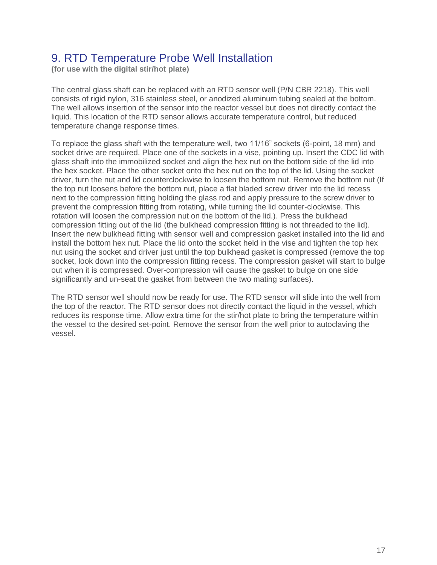# <span id="page-16-0"></span>9. RTD Temperature Probe Well Installation

**(for use with the digital stir/hot plate)**

The central glass shaft can be replaced with an RTD sensor well (P/N CBR 2218). This well consists of rigid nylon, 316 stainless steel, or anodized aluminum tubing sealed at the bottom. The well allows insertion of the sensor into the reactor vessel but does not directly contact the liquid. This location of the RTD sensor allows accurate temperature control, but reduced temperature change response times.

To replace the glass shaft with the temperature well, two 11/16" sockets (6-point, 18 mm) and socket drive are required. Place one of the sockets in a vise, pointing up. Insert the CDC lid with glass shaft into the immobilized socket and align the hex nut on the bottom side of the lid into the hex socket. Place the other socket onto the hex nut on the top of the lid. Using the socket driver, turn the nut and lid counterclockwise to loosen the bottom nut. Remove the bottom nut (If the top nut loosens before the bottom nut, place a flat bladed screw driver into the lid recess next to the compression fitting holding the glass rod and apply pressure to the screw driver to prevent the compression fitting from rotating, while turning the lid counter-clockwise. This rotation will loosen the compression nut on the bottom of the lid.). Press the bulkhead compression fitting out of the lid (the bulkhead compression fitting is not threaded to the lid). Insert the new bulkhead fitting with sensor well and compression gasket installed into the lid and install the bottom hex nut. Place the lid onto the socket held in the vise and tighten the top hex nut using the socket and driver just until the top bulkhead gasket is compressed (remove the top socket, look down into the compression fitting recess. The compression gasket will start to bulge out when it is compressed. Over-compression will cause the gasket to bulge on one side significantly and un-seat the gasket from between the two mating surfaces).

The RTD sensor well should now be ready for use. The RTD sensor will slide into the well from the top of the reactor. The RTD sensor does not directly contact the liquid in the vessel, which reduces its response time. Allow extra time for the stir/hot plate to bring the temperature within the vessel to the desired set-point. Remove the sensor from the well prior to autoclaving the vessel.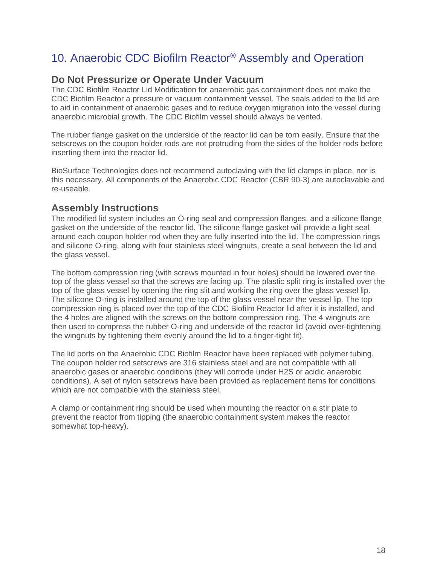# <span id="page-17-0"></span>10. Anaerobic CDC Biofilm Reactor® Assembly and Operation

### **Do Not Pressurize or Operate Under Vacuum**

The CDC Biofilm Reactor Lid Modification for anaerobic gas containment does not make the CDC Biofilm Reactor a pressure or vacuum containment vessel. The seals added to the lid are to aid in containment of anaerobic gases and to reduce oxygen migration into the vessel during anaerobic microbial growth. The CDC Biofilm vessel should always be vented.

The rubber flange gasket on the underside of the reactor lid can be torn easily. Ensure that the setscrews on the coupon holder rods are not protruding from the sides of the holder rods before inserting them into the reactor lid.

BioSurface Technologies does not recommend autoclaving with the lid clamps in place, nor is this necessary. All components of the Anaerobic CDC Reactor (CBR 90-3) are autoclavable and re-useable.

### **Assembly Instructions**

The modified lid system includes an O-ring seal and compression flanges, and a silicone flange gasket on the underside of the reactor lid. The silicone flange gasket will provide a light seal around each coupon holder rod when they are fully inserted into the lid. The compression rings and silicone O-ring, along with four stainless steel wingnuts, create a seal between the lid and the glass vessel.

The bottom compression ring (with screws mounted in four holes) should be lowered over the top of the glass vessel so that the screws are facing up. The plastic split ring is installed over the top of the glass vessel by opening the ring slit and working the ring over the glass vessel lip. The silicone O-ring is installed around the top of the glass vessel near the vessel lip. The top compression ring is placed over the top of the CDC Biofilm Reactor lid after it is installed, and the 4 holes are aligned with the screws on the bottom compression ring. The 4 wingnuts are then used to compress the rubber O-ring and underside of the reactor lid (avoid over-tightening the wingnuts by tightening them evenly around the lid to a finger-tight fit).

The lid ports on the Anaerobic CDC Biofilm Reactor have been replaced with polymer tubing. The coupon holder rod setscrews are 316 stainless steel and are not compatible with all anaerobic gases or anaerobic conditions (they will corrode under H2S or acidic anaerobic conditions). A set of nylon setscrews have been provided as replacement items for conditions which are not compatible with the stainless steel.

A clamp or containment ring should be used when mounting the reactor on a stir plate to prevent the reactor from tipping (the anaerobic containment system makes the reactor somewhat top-heavy).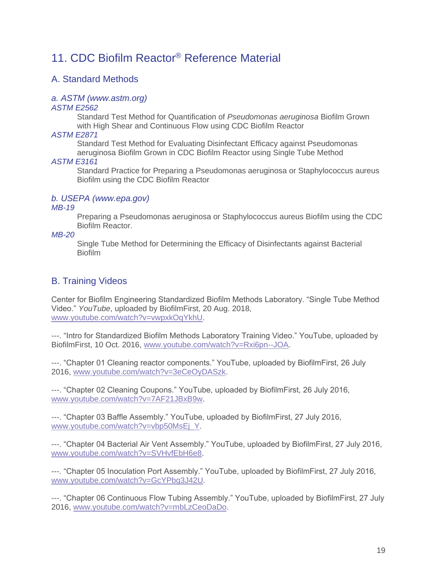# <span id="page-18-0"></span>11. CDC Biofilm Reactor® Reference Material

### <span id="page-18-1"></span>A. Standard Methods

### <span id="page-18-2"></span>*a. ASTM (www.astm.org)*

### *[ASTM E2562](http://webstore.ansi.org/RecordDetail.aspx?sku=ASTM+E2562-07)*

Standard Test Method for Quantification of *Pseudomonas aeruginosa* Biofilm Grown with High Shear and Continuous Flow using CDC Biofilm Reactor

### *ASTM E2871*

Standard Test Method for Evaluating Disinfectant Efficacy against Pseudomonas aeruginosa Biofilm Grown in CDC Biofilm Reactor using Single Tube Method

### *ASTM E3161*

Standard Practice for Preparing a Pseudomonas aeruginosa or Staphylococcus aureus Biofilm using the CDC Biofilm Reactor

### <span id="page-18-3"></span>*b. USEPA (www.epa.gov)*

#### *[MB-19](http://webstore.ansi.org/RecordDetail.aspx?sku=ASTM+E2562-07)*

Preparing a Pseudomonas aeruginosa or Staphylococcus aureus Biofilm using the CDC Biofilm Reactor.

#### *MB-20*

Single Tube Method for Determining the Efficacy of Disinfectants against Bacterial **Biofilm** 

### <span id="page-18-4"></span>B. Training Videos

Center for Biofilm Engineering Standardized Biofilm Methods Laboratory. "Single Tube Method Video." *YouTube*, uploaded by BiofilmFirst, 20 Aug. 2018, [www.youtube.com/watch?v=vwpxkOqYkhU.](http://www.youtube.com/watch?v=vwpxkOqYkhU)

---. "Intro for Standardized Biofilm Methods Laboratory Training Video." YouTube, uploaded by BiofilmFirst, 10 Oct. 2016, [www.youtube.com/watch?v=Rxi6pn--JOA.](http://www.youtube.com/watch?v=Rxi6pn--JOA)

---. "Chapter 01 Cleaning reactor components." YouTube, uploaded by BiofilmFirst, 26 July 2016, [www.youtube.com/watch?v=3eCeOyDASzk.](http://www.youtube.com/watch?v=3eCeOyDASzk)

---. "Chapter 02 Cleaning Coupons." YouTube, uploaded by BiofilmFirst, 26 July 2016, [www.youtube.com/watch?v=7AF21JBxB9w.](http://www.youtube.com/watch?v=7AF21JBxB9w)

---. "Chapter 03 Baffle Assembly." YouTube, uploaded by BiofilmFirst, 27 July 2016, [www.youtube.com/watch?v=vbp50MsEj\\_Y.](http://www.youtube.com/watch?v=vbp50MsEj_Y)

---. "Chapter 04 Bacterial Air Vent Assembly." YouTube, uploaded by BiofilmFirst, 27 July 2016, [www.youtube.com/watch?v=SVHvfEbH6e8.](http://www.youtube.com/watch?v=SVHvfEbH6e8)

---. "Chapter 05 Inoculation Port Assembly." YouTube, uploaded by BiofilmFirst, 27 July 2016, [www.youtube.com/watch?v=GcYPbg3J42U.](http://www.youtube.com/watch?v=GcYPbg3J42U)

---. "Chapter 06 Continuous Flow Tubing Assembly." YouTube, uploaded by BiofilmFirst, 27 July 2016, [www.youtube.com/watch?v=mbLzCeoDaDo.](http://www.youtube.com/watch?v=mbLzCeoDaDo)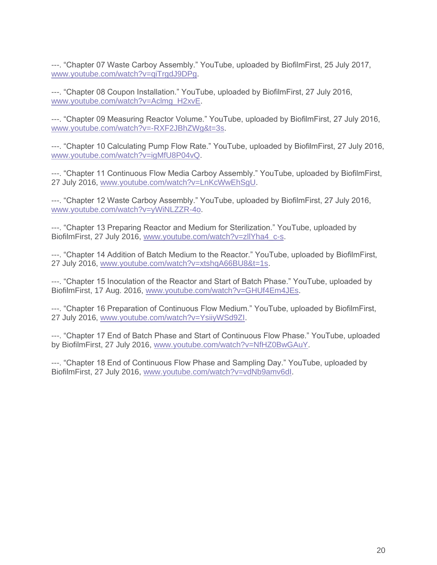---. "Chapter 07 Waste Carboy Assembly." YouTube, uploaded by BiofilmFirst, 25 July 2017, [www.youtube.com/watch?v=qiTrgdJ9DPg.](http://www.youtube.com/watch?v=qiTrgdJ9DPg)

---. "Chapter 08 Coupon Installation." YouTube, uploaded by BiofilmFirst, 27 July 2016, [www.youtube.com/watch?v=Aclmg\\_H2xvE.](http://www.youtube.com/watch?v=Aclmg_H2xvE)

---. "Chapter 09 Measuring Reactor Volume." YouTube, uploaded by BiofilmFirst, 27 July 2016, [www.youtube.com/watch?v=-RXF2JBhZWg&t=3s.](http://www.youtube.com/watch?v=-RXF2JBhZWg&t=3s)

---. "Chapter 10 Calculating Pump Flow Rate." YouTube, uploaded by BiofilmFirst, 27 July 2016, [www.youtube.com/watch?v=igMfU8P04vQ.](http://www.youtube.com/watch?v=igMfU8P04vQ)

---. "Chapter 11 Continuous Flow Media Carboy Assembly." YouTube, uploaded by BiofilmFirst, 27 July 2016, [www.youtube.com/watch?v=LnKcWwEhSgU.](http://www.youtube.com/watch?v=LnKcWwEhSgU)

---. "Chapter 12 Waste Carboy Assembly." YouTube, uploaded by BiofilmFirst, 27 July 2016, [www.youtube.com/watch?v=yWiNLZZR-4o.](http://www.youtube.com/watch?v=yWiNLZZR-4o)

---. "Chapter 13 Preparing Reactor and Medium for Sterilization." YouTube, uploaded by BiofilmFirst, 27 July 2016, [www.youtube.com/watch?v=zllYha4\\_c-s.](http://www.youtube.com/watch?v=zllYha4_c-s)

---. "Chapter 14 Addition of Batch Medium to the Reactor." YouTube, uploaded by BiofilmFirst, 27 July 2016, [www.youtube.com/watch?v=xtshqA66BU8&t=1s.](http://www.youtube.com/watch?v=xtshqA66BU8&t=1s)

---. "Chapter 15 Inoculation of the Reactor and Start of Batch Phase." YouTube, uploaded by BiofilmFirst, 17 Aug. 2016, [www.youtube.com/watch?v=GHUf4Em4JEs.](http://www.youtube.com/watch?v=GHUf4Em4JEs)

---. "Chapter 16 Preparation of Continuous Flow Medium." YouTube, uploaded by BiofilmFirst, 27 July 2016, [www.youtube.com/watch?v=YsiiyWSd9ZI.](http://www.youtube.com/watch?v=YsiiyWSd9ZI)

---. "Chapter 17 End of Batch Phase and Start of Continuous Flow Phase." YouTube, uploaded by BiofilmFirst, 27 July 2016, [www.youtube.com/watch?v=NfHZ0BwGAuY.](http://www.youtube.com/watch?v=NfHZ0BwGAuY)

---. "Chapter 18 End of Continuous Flow Phase and Sampling Day." YouTube, uploaded by BiofilmFirst, 27 July 2016, [www.youtube.com/watch?v=vdNb9amv6dI.](http://www.youtube.com/watch?v=vdNb9amv6dI)